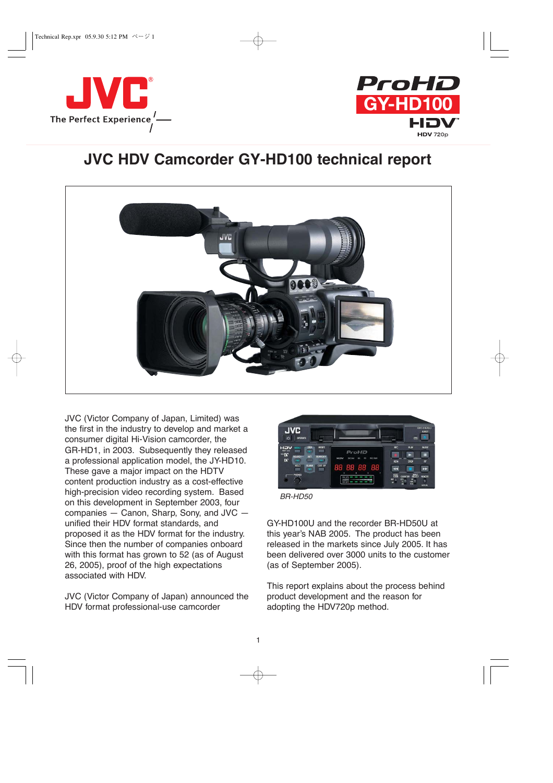



# **JVC HDV Camcorder GY-HD100 technical report**



JVC (Victor Company of Japan, Limited) was the first in the industry to develop and market a consumer digital Hi-Vision camcorder, the GR-HD1, in 2003. Subsequently they released a professional application model, the JY-HD10. These gave a major impact on the HDTV content production industry as a cost-effective high-precision video recording system. Based on this development in September 2003, four companies — Canon, Sharp, Sony, and JVC unified their HDV format standards, and proposed it as the HDV format for the industry. Since then the number of companies onboard with this format has grown to 52 (as of August 26, 2005), proof of the high expectations associated with HDV.

JVC (Victor Company of Japan) announced the HDV format professional-use camcorder



*BR-HD50*

GY-HD100U and the recorder BR-HD50U at this year's NAB 2005. The product has been released in the markets since July 2005. It has been delivered over 3000 units to the customer (as of September 2005).

This report explains about the process behind product development and the reason for adopting the HDV720p method.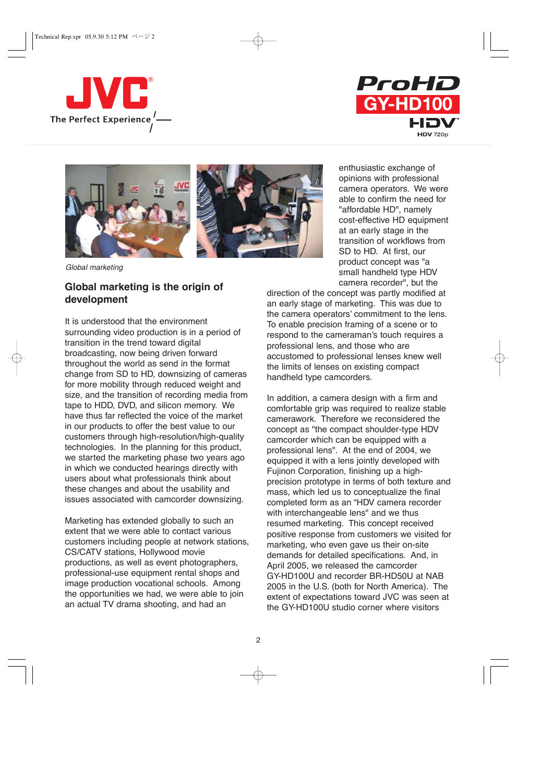







*Global marketing*

### **Global marketing is the origin of development**

It is understood that the environment surrounding video production is in a period of transition in the trend toward digital broadcasting, now being driven forward throughout the world as send in the format change from SD to HD, downsizing of cameras for more mobility through reduced weight and size, and the transition of recording media from tape to HDD, DVD, and silicon memory. We have thus far reflected the voice of the market in our products to offer the best value to our customers through high-resolution/high-quality technologies. In the planning for this product, we started the marketing phase two years ago in which we conducted hearings directly with users about what professionals think about these changes and about the usability and issues associated with camcorder downsizing.

Marketing has extended globally to such an extent that we were able to contact various customers including people at network stations, CS/CATV stations, Hollywood movie productions, as well as event photographers, professional-use equipment rental shops and image production vocational schools. Among the opportunities we had, we were able to join an actual TV drama shooting, and had an

enthusiastic exchange of opinions with professional camera operators. We were able to confirm the need for "affordable HD", namely cost-effective HD equipment at an early stage in the transition of workflows from SD to HD. At first, our product concept was "a small handheld type HDV camera recorder", but the

direction of the concept was partly modified at an early stage of marketing. This was due to the camera operators' commitment to the lens. To enable precision framing of a scene or to respond to the cameraman's touch requires a professional lens, and those who are accustomed to professional lenses knew well the limits of lenses on existing compact handheld type camcorders.

In addition, a camera design with a firm and comfortable grip was required to realize stable camerawork. Therefore we reconsidered the concept as "the compact shoulder-type HDV camcorder which can be equipped with a professional lens". At the end of 2004, we equipped it with a lens jointly developed with Fujinon Corporation, finishing up a highprecision prototype in terms of both texture and mass, which led us to conceptualize the final completed form as an "HDV camera recorder with interchangeable lens" and we thus resumed marketing. This concept received positive response from customers we visited for marketing, who even gave us their on-site demands for detailed specifications. And, in April 2005, we released the camcorder GY-HD100U and recorder BR-HD50U at NAB 2005 in the U.S. (both for North America). The extent of expectations toward JVC was seen at the GY-HD100U studio corner where visitors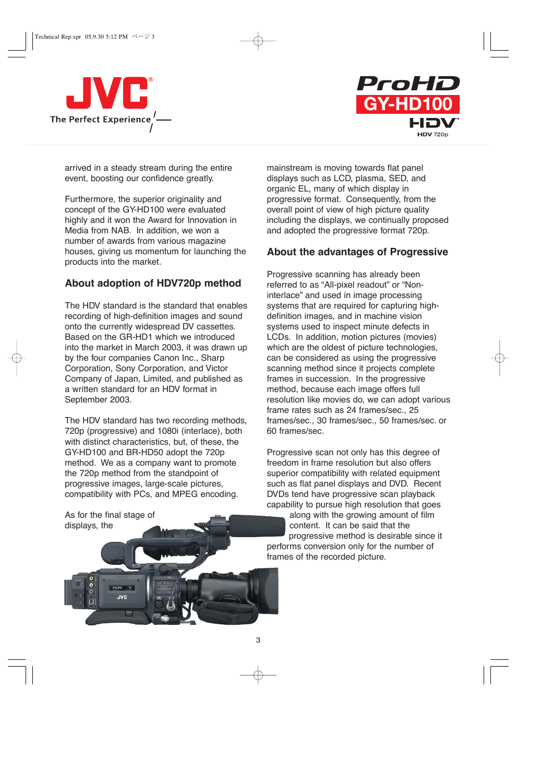



arrived in a steady stream during the entire event, boosting our confidence greatly.

Furthermore, the superior originality and concept of the GY-HD100 were evaluated highly and it won the Award for Innovation in Media from NAB. In addition, we won a number of awards from various magazine houses, giving us momentum for launching the products into the market.

# **About adoption of HDV720p method**

The HDV standard is the standard that enables recording of high-definition images and sound onto the currently widespread DV cassettes. Based on the GR-HD1 which we introduced into the market in March 2003, it was drawn up by the four companies Canon Inc., Sharp Corporation, Sony Corporation, and Victor Company of Japan, Limited, and published as a written standard for an HDV format in September 2003.

The HDV standard has two recording methods, 720p (progressive) and 1080i (interlace), both with distinct characteristics, but, of these, the GY-HD100 and BR-HD50 adopt the 720p method. We as a company want to promote the 720p method from the standpoint of progressive images, large-scale pictures, compatibility with PCs, and MPEG encoding.

As for the final stage of displays, the

> $H = VGH$ **JVC**

mainstream is moving towards flat panel displays such as LCD, plasma, SED, and organic EL, many of which display in progressive format. Consequently, from the overall point of view of high picture quality including the displays, we continually proposed and adopted the progressive format 720p.

## **About the advantages of Progressive**

Progressive scanning has already been referred to as "All-pixel readout" or "Noninterlace" and used in image processing systems that are required for capturing highdefinition images, and in machine vision systems used to inspect minute defects in LCDs. In addition, motion pictures (movies) which are the oldest of picture technologies, can be considered as using the progressive scanning method since it projects complete frames in succession. In the progressive method, because each image offers full resolution like movies do, we can adopt various frame rates such as 24 frames/sec., 25 frames/sec., 30 frames/sec., 50 frames/sec. or 60 frames/sec.

Progressive scan not only has this degree of freedom in frame resolution but also offers superior compatibility with related equipment such as flat panel displays and DVD. Recent DVDs tend have progressive scan playback capability to pursue high resolution that goes

along with the growing amount of film content. It can be said that the progressive method is desirable since it performs conversion only for the number of frames of the recorded picture.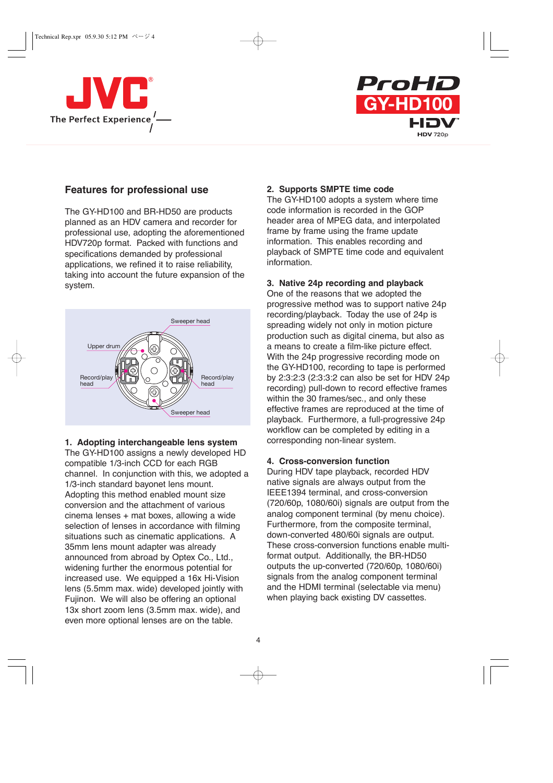



### **Features for professional use**

The GY-HD100 and BR-HD50 are products planned as an HDV camera and recorder for professional use, adopting the aforementioned HDV720p format. Packed with functions and specifications demanded by professional applications, we refined it to raise reliability, taking into account the future expansion of the system.



#### **1. Adopting interchangeable lens system**

The GY-HD100 assigns a newly developed HD compatible 1/3-inch CCD for each RGB channel. In conjunction with this, we adopted a 1/3-inch standard bayonet lens mount. Adopting this method enabled mount size conversion and the attachment of various cinema lenses + mat boxes, allowing a wide selection of lenses in accordance with filming situations such as cinematic applications. A 35mm lens mount adapter was already announced from abroad by Optex Co., Ltd., widening further the enormous potential for increased use. We equipped a 16x Hi-Vision lens (5.5mm max. wide) developed jointly with Fujinon. We will also be offering an optional 13x short zoom lens (3.5mm max. wide), and even more optional lenses are on the table.

#### **2. Supports SMPTE time code**

The GY-HD100 adopts a system where time code information is recorded in the GOP header area of MPEG data, and interpolated frame by frame using the frame update information. This enables recording and playback of SMPTE time code and equivalent information.

#### **3. Native 24p recording and playback**

One of the reasons that we adopted the progressive method was to support native 24p recording/playback. Today the use of 24p is spreading widely not only in motion picture production such as digital cinema, but also as a means to create a film-like picture effect. With the 24p progressive recording mode on the GY-HD100, recording to tape is performed by 2:3:2:3 (2:3:3:2 can also be set for HDV 24p recording) pull-down to record effective frames within the 30 frames/sec., and only these effective frames are reproduced at the time of playback. Furthermore, a full-progressive 24p workflow can be completed by editing in a corresponding non-linear system.

#### **4. Cross-conversion function**

During HDV tape playback, recorded HDV native signals are always output from the IEEE1394 terminal, and cross-conversion (720/60p, 1080/60i) signals are output from the analog component terminal (by menu choice). Furthermore, from the composite terminal, down-converted 480/60i signals are output. These cross-conversion functions enable multiformat output. Additionally, the BR-HD50 outputs the up-converted (720/60p, 1080/60i) signals from the analog component terminal and the HDMI terminal (selectable via menu) when playing back existing DV cassettes.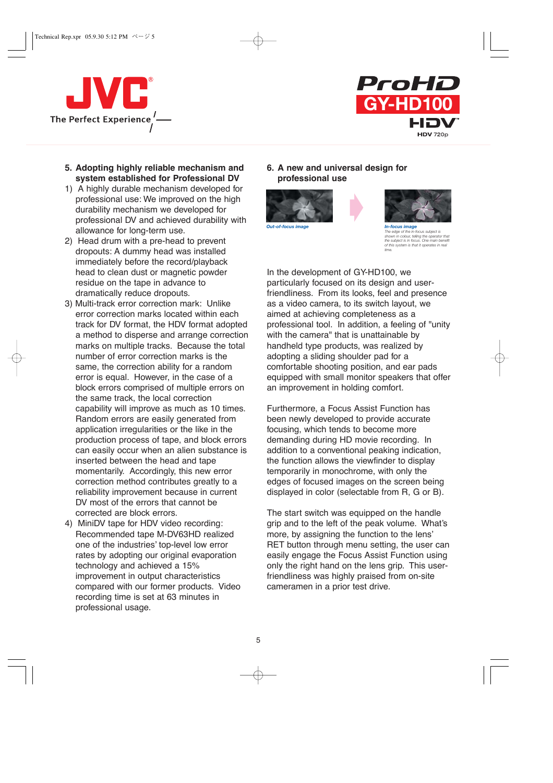



- **5. Adopting highly reliable mechanism and system established for Professional DV**
- 1) A highly durable mechanism developed for professional use: We improved on the high durability mechanism we developed for professional DV and achieved durability with allowance for long-term use.
- 2) Head drum with a pre-head to prevent dropouts: A dummy head was installed immediately before the record/playback head to clean dust or magnetic powder residue on the tape in advance to dramatically reduce dropouts.
- 3) Multi-track error correction mark: Unlike error correction marks located within each track for DV format, the HDV format adopted a method to disperse and arrange correction marks on multiple tracks. Because the total number of error correction marks is the same, the correction ability for a random error is equal. However, in the case of a block errors comprised of multiple errors on the same track, the local correction capability will improve as much as 10 times. Random errors are easily generated from application irregularities or the like in the production process of tape, and block errors can easily occur when an alien substance is inserted between the head and tape momentarily. Accordingly, this new error correction method contributes greatly to a reliability improvement because in current DV most of the errors that cannot be corrected are block errors.
- 4) MiniDV tape for HDV video recording: Recommended tape M-DV63HD realized one of the industries' top-level low error rates by adopting our original evaporation technology and achieved a 15% improvement in output characteristics compared with our former products. Video recording time is set at 63 minutes in professional usage.

**6. A new and universal design for professional use** 

 $\blacktriangleright$ 





*The edge of the in-focus subject is shown in colour, telling the operator that the subject is in focus. One main benefit of this system is that it operates in real time.*

In the development of GY-HD100, we particularly focused on its design and userfriendliness. From its looks, feel and presence as a video camera, to its switch layout, we aimed at achieving completeness as a professional tool. In addition, a feeling of "unity with the camera" that is unattainable by handheld type products, was realized by adopting a sliding shoulder pad for a comfortable shooting position, and ear pads equipped with small monitor speakers that offer an improvement in holding comfort.

Furthermore, a Focus Assist Function has been newly developed to provide accurate focusing, which tends to become more demanding during HD movie recording. In addition to a conventional peaking indication, the function allows the viewfinder to display temporarily in monochrome, with only the edges of focused images on the screen being displayed in color (selectable from R, G or B).

The start switch was equipped on the handle grip and to the left of the peak volume. What's more, by assigning the function to the lens' RET button through menu setting, the user can easily engage the Focus Assist Function using only the right hand on the lens grip. This userfriendliness was highly praised from on-site cameramen in a prior test drive.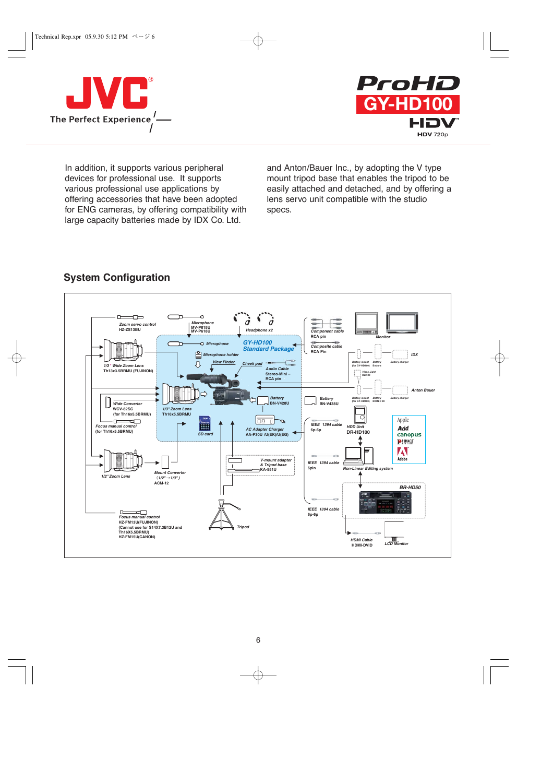



In addition, it supports various peripheral devices for professional use. It supports various professional use applications by offering accessories that have been adopted for ENG cameras, by offering compatibility with large capacity batteries made by IDX Co. Ltd.

and Anton/Bauer Inc., by adopting the V type mount tripod base that enables the tripod to be easily attached and detached, and by offering a lens servo unit compatible with the studio specs.



# **System Configuration**